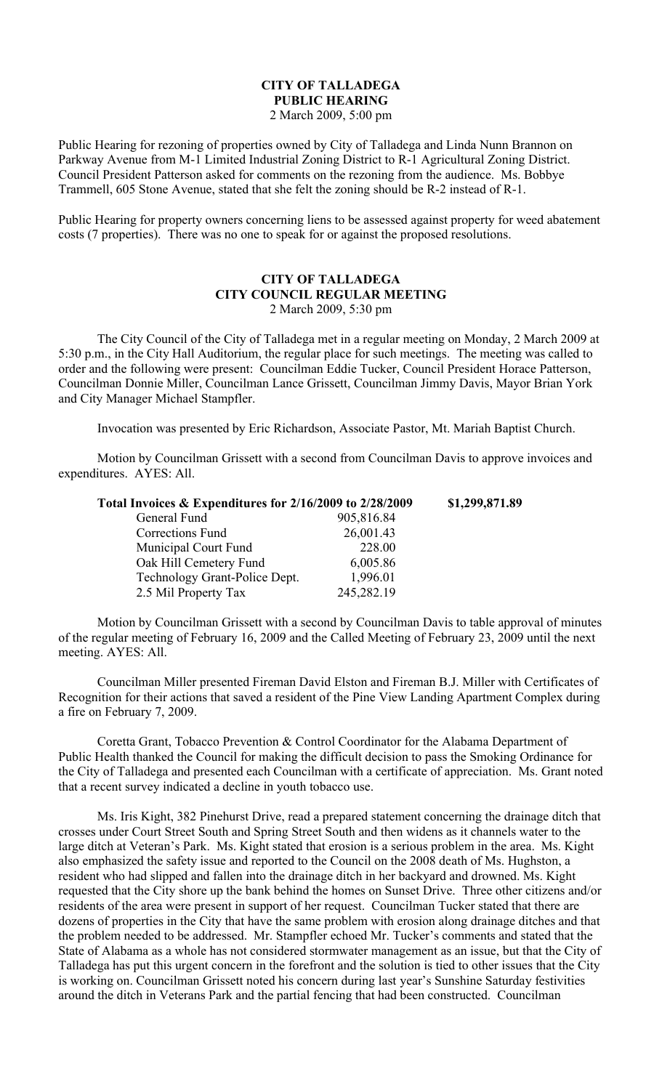#### **CITY OF TALLADEGA PUBLIC HEARING** 2 March 2009, 5:00 pm

Public Hearing for rezoning of properties owned by City of Talladega and Linda Nunn Brannon on Parkway Avenue from M-1 Limited Industrial Zoning District to R-1 Agricultural Zoning District. Council President Patterson asked for comments on the rezoning from the audience. Ms. Bobbye Trammell, 605 Stone Avenue, stated that she felt the zoning should be R-2 instead of R-1.

Public Hearing for property owners concerning liens to be assessed against property for weed abatement costs (7 properties). There was no one to speak for or against the proposed resolutions.

### **CITY OF TALLADEGA CITY COUNCIL REGULAR MEETING** 2 March 2009, 5:30 pm

The City Council of the City of Talladega met in a regular meeting on Monday, 2 March 2009 at 5:30 p.m., in the City Hall Auditorium, the regular place for such meetings. The meeting was called to order and the following were present: Councilman Eddie Tucker, Council President Horace Patterson, Councilman Donnie Miller, Councilman Lance Grissett, Councilman Jimmy Davis, Mayor Brian York and City Manager Michael Stampfler.

Invocation was presented by Eric Richardson, Associate Pastor, Mt. Mariah Baptist Church.

Motion by Councilman Grissett with a second from Councilman Davis to approve invoices and expenditures. AYES: All.

| Total Invoices & Expenditures for 2/16/2009 to 2/28/2009 |            | \$1,299,871.89 |
|----------------------------------------------------------|------------|----------------|
| General Fund                                             | 905,816.84 |                |
| Corrections Fund                                         | 26,001.43  |                |
| Municipal Court Fund                                     | 228.00     |                |
| Oak Hill Cemetery Fund                                   | 6,005.86   |                |
| Technology Grant-Police Dept.                            | 1,996.01   |                |
| 2.5 Mil Property Tax                                     | 245,282.19 |                |

Motion by Councilman Grissett with a second by Councilman Davis to table approval of minutes of the regular meeting of February 16, 2009 and the Called Meeting of February 23, 2009 until the next meeting. AYES: All.

Councilman Miller presented Fireman David Elston and Fireman B.J. Miller with Certificates of Recognition for their actions that saved a resident of the Pine View Landing Apartment Complex during a fire on February 7, 2009.

Coretta Grant, Tobacco Prevention & Control Coordinator for the Alabama Department of Public Health thanked the Council for making the difficult decision to pass the Smoking Ordinance for the City of Talladega and presented each Councilman with a certificate of appreciation. Ms. Grant noted that a recent survey indicated a decline in youth tobacco use.

Ms. Iris Kight, 382 Pinehurst Drive, read a prepared statement concerning the drainage ditch that crosses under Court Street South and Spring Street South and then widens as it channels water to the large ditch at Veteran's Park. Ms. Kight stated that erosion is a serious problem in the area. Ms. Kight also emphasized the safety issue and reported to the Council on the 2008 death of Ms. Hughston, a resident who had slipped and fallen into the drainage ditch in her backyard and drowned. Ms. Kight requested that the City shore up the bank behind the homes on Sunset Drive. Three other citizens and/or residents of the area were present in support of her request. Councilman Tucker stated that there are dozens of properties in the City that have the same problem with erosion along drainage ditches and that the problem needed to be addressed. Mr. Stampfler echoed Mr. Tucker's comments and stated that the State of Alabama as a whole has not considered stormwater management as an issue, but that the City of Talladega has put this urgent concern in the forefront and the solution is tied to other issues that the City is working on. Councilman Grissett noted his concern during last year's Sunshine Saturday festivities around the ditch in Veterans Park and the partial fencing that had been constructed. Councilman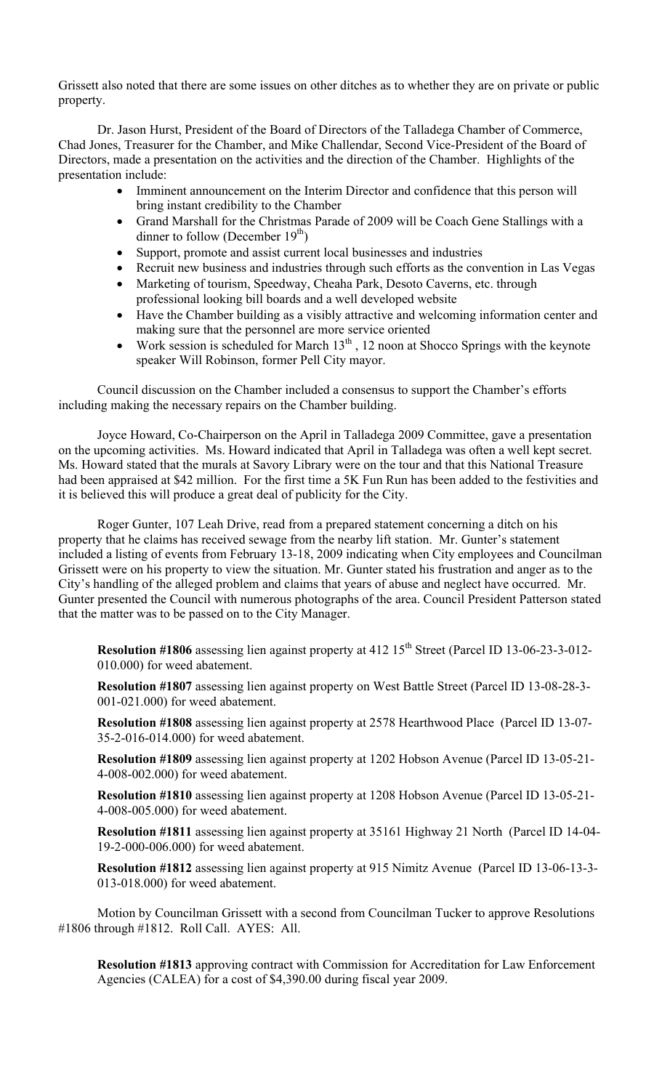Grissett also noted that there are some issues on other ditches as to whether they are on private or public property.

Dr. Jason Hurst, President of the Board of Directors of the Talladega Chamber of Commerce, Chad Jones, Treasurer for the Chamber, and Mike Challendar, Second Vice-President of the Board of Directors, made a presentation on the activities and the direction of the Chamber. Highlights of the presentation include:

- Imminent announcement on the Interim Director and confidence that this person will bring instant credibility to the Chamber
- Grand Marshall for the Christmas Parade of 2009 will be Coach Gene Stallings with a dinner to follow (December  $19<sup>th</sup>$ )
- Support, promote and assist current local businesses and industries
- Recruit new business and industries through such efforts as the convention in Las Vegas
- Marketing of tourism, Speedway, Cheaha Park, Desoto Caverns, etc. through professional looking bill boards and a well developed website
- Have the Chamber building as a visibly attractive and welcoming information center and making sure that the personnel are more service oriented
- Work session is scheduled for March  $13<sup>th</sup>$ , 12 noon at Shocco Springs with the keynote speaker Will Robinson, former Pell City mayor.

Council discussion on the Chamber included a consensus to support the Chamber's efforts including making the necessary repairs on the Chamber building.

Joyce Howard, Co-Chairperson on the April in Talladega 2009 Committee, gave a presentation on the upcoming activities. Ms. Howard indicated that April in Talladega was often a well kept secret. Ms. Howard stated that the murals at Savory Library were on the tour and that this National Treasure had been appraised at \$42 million. For the first time a 5K Fun Run has been added to the festivities and it is believed this will produce a great deal of publicity for the City.

Roger Gunter, 107 Leah Drive, read from a prepared statement concerning a ditch on his property that he claims has received sewage from the nearby lift station. Mr. Gunter's statement included a listing of events from February 13-18, 2009 indicating when City employees and Councilman Grissett were on his property to view the situation. Mr. Gunter stated his frustration and anger as to the City's handling of the alleged problem and claims that years of abuse and neglect have occurred. Mr. Gunter presented the Council with numerous photographs of the area. Council President Patterson stated that the matter was to be passed on to the City Manager.

**Resolution #1806** assessing lien against property at 412 15<sup>th</sup> Street (Parcel ID 13-06-23-3-012-010.000) for weed abatement.

**Resolution #1807** assessing lien against property on West Battle Street (Parcel ID 13-08-28-3- 001-021.000) for weed abatement.

**Resolution #1808** assessing lien against property at 2578 Hearthwood Place (Parcel ID 13-07- 35-2-016-014.000) for weed abatement.

**Resolution #1809** assessing lien against property at 1202 Hobson Avenue (Parcel ID 13-05-21- 4-008-002.000) for weed abatement.

**Resolution #1810** assessing lien against property at 1208 Hobson Avenue (Parcel ID 13-05-21- 4-008-005.000) for weed abatement.

**Resolution #1811** assessing lien against property at 35161 Highway 21 North (Parcel ID 14-04- 19-2-000-006.000) for weed abatement.

**Resolution #1812** assessing lien against property at 915 Nimitz Avenue (Parcel ID 13-06-13-3- 013-018.000) for weed abatement.

Motion by Councilman Grissett with a second from Councilman Tucker to approve Resolutions #1806 through #1812. Roll Call. AYES: All.

**Resolution #1813** approving contract with Commission for Accreditation for Law Enforcement Agencies (CALEA) for a cost of \$4,390.00 during fiscal year 2009.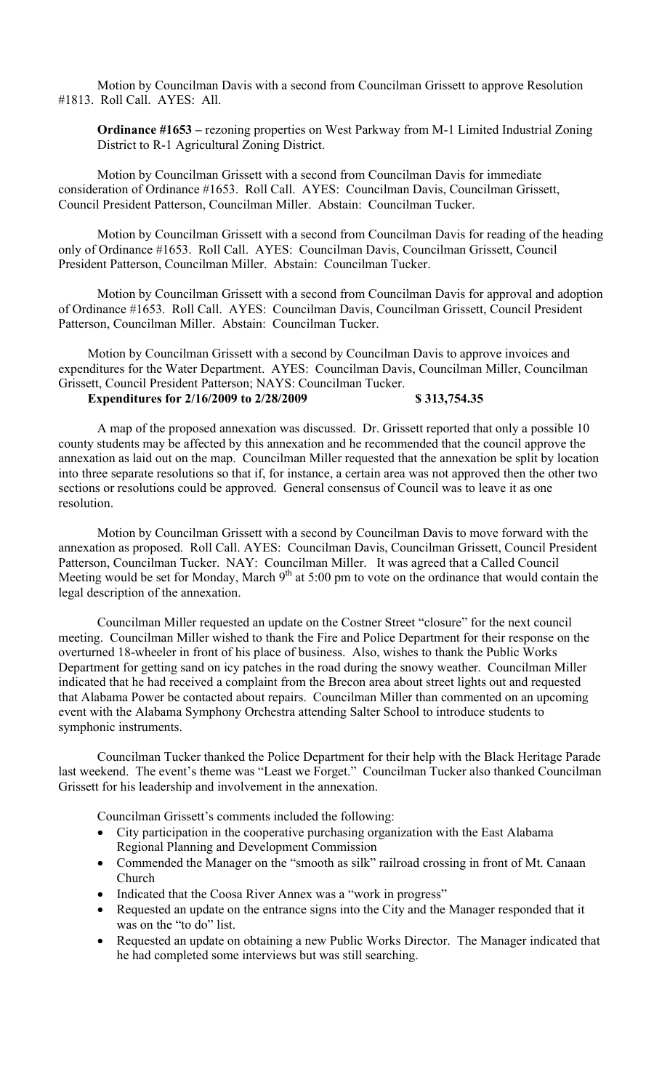Motion by Councilman Davis with a second from Councilman Grissett to approve Resolution #1813. Roll Call. AYES: All.

**Ordinance #1653 –** rezoning properties on West Parkway from M-1 Limited Industrial Zoning District to R-1 Agricultural Zoning District.

Motion by Councilman Grissett with a second from Councilman Davis for immediate consideration of Ordinance #1653. Roll Call. AYES: Councilman Davis, Councilman Grissett, Council President Patterson, Councilman Miller. Abstain: Councilman Tucker.

Motion by Councilman Grissett with a second from Councilman Davis for reading of the heading only of Ordinance #1653. Roll Call. AYES: Councilman Davis, Councilman Grissett, Council President Patterson, Councilman Miller. Abstain: Councilman Tucker.

Motion by Councilman Grissett with a second from Councilman Davis for approval and adoption of Ordinance #1653. Roll Call. AYES: Councilman Davis, Councilman Grissett, Council President Patterson, Councilman Miller. Abstain: Councilman Tucker.

Motion by Councilman Grissett with a second by Councilman Davis to approve invoices and expenditures for the Water Department. AYES: Councilman Davis, Councilman Miller, Councilman Grissett, Council President Patterson; NAYS: Councilman Tucker.

# **Expenditures for 2/16/2009 to 2/28/2009 \$ 313,754.35**

A map of the proposed annexation was discussed. Dr. Grissett reported that only a possible 10 county students may be affected by this annexation and he recommended that the council approve the annexation as laid out on the map. Councilman Miller requested that the annexation be split by location into three separate resolutions so that if, for instance, a certain area was not approved then the other two sections or resolutions could be approved. General consensus of Council was to leave it as one resolution.

Motion by Councilman Grissett with a second by Councilman Davis to move forward with the annexation as proposed. Roll Call. AYES: Councilman Davis, Councilman Grissett, Council President Patterson, Councilman Tucker. NAY: Councilman Miller. It was agreed that a Called Council Meeting would be set for Monday, March  $9<sup>th</sup>$  at 5:00 pm to vote on the ordinance that would contain the legal description of the annexation.

Councilman Miller requested an update on the Costner Street "closure" for the next council meeting. Councilman Miller wished to thank the Fire and Police Department for their response on the overturned 18-wheeler in front of his place of business. Also, wishes to thank the Public Works Department for getting sand on icy patches in the road during the snowy weather. Councilman Miller indicated that he had received a complaint from the Brecon area about street lights out and requested that Alabama Power be contacted about repairs. Councilman Miller than commented on an upcoming event with the Alabama Symphony Orchestra attending Salter School to introduce students to symphonic instruments.

Councilman Tucker thanked the Police Department for their help with the Black Heritage Parade last weekend. The event's theme was "Least we Forget." Councilman Tucker also thanked Councilman Grissett for his leadership and involvement in the annexation.

Councilman Grissett's comments included the following:

- City participation in the cooperative purchasing organization with the East Alabama Regional Planning and Development Commission
- Commended the Manager on the "smooth as silk" railroad crossing in front of Mt. Canaan Church
- Indicated that the Coosa River Annex was a "work in progress"
- Requested an update on the entrance signs into the City and the Manager responded that it was on the "to do" list.
- Requested an update on obtaining a new Public Works Director. The Manager indicated that he had completed some interviews but was still searching.